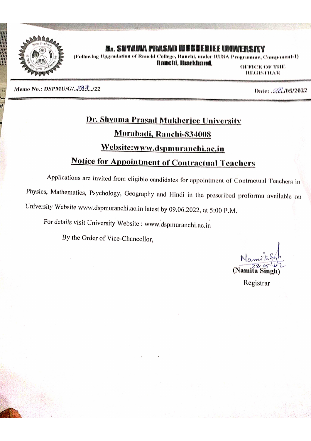

## Dr. SHYAMA PRASAD MUKHERJEE UNIVERSITY

(Following Upgradation of Ranchi College, Ranchi, under RUSA Programme, Component-I) **Banchi**, Jimrkhamd,

**OFFICE OF THE REGISTRAR** 

Memo No.: DSPMU/G/. 28 7. /22

Date: 22./05/2022

# Dr. Shyama Prasad Mukherjee University Morabadi, Ranchi-834008 Website:www.dspmuranchi.ac.in **Notice for Appointment of Contractual Teachers**

Applications are invited from eligible candidates for appointment of Contractual Teachers in Physics, Mathematics, Psychology, Geography and Hindi in the prescribed proforma available on University Website www.dspmuranchi.ac.in latest by 09.06.2022, at 5:00 P.M.

For details visit University Website : www.dspmuranchi.ac.in

By the Order of Vice-Chancellor,

(Namita Singh)

Registrar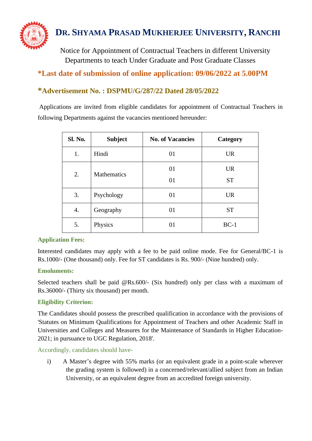

Notice for Appointment of Contractual Teachers in different University Departments to teach Under Graduate and Post Graduate Classes

# **\*Last date of submission of online application: 09/06/2022 at 5.00PM**

## **\*Advertisement No. : DSPMU/G/287/22 Dated 28/05/2022**

Applications are invited from eligible candidates for appointment of Contractual Teachers in following Departments against the vacancies mentioned hereunder:

| Sl. No. | <b>Subject</b>     | <b>No. of Vacancies</b> | Category  |
|---------|--------------------|-------------------------|-----------|
| 1.      | Hindi              | 01                      | <b>UR</b> |
| 2.      | <b>Mathematics</b> | 01                      | <b>UR</b> |
|         |                    | 01                      | <b>ST</b> |
| 3.      | Psychology         | 01                      | <b>UR</b> |
| 4.      | Geography          | 01                      | <b>ST</b> |
| 5.      | Physics            | 01                      | $BC-1$    |

#### **Application Fees:**

Interested candidates may apply with a fee to be paid online mode. Fee for General/BC-1 is Rs.1000/- (One thousand) only. Fee for ST candidates is Rs. 900/- (Nine hundred) only.

## **Emoluments:**

Selected teachers shall be paid @Rs.600/- (Six hundred) only per class with a maximum of Rs.36000/- (Thirty six thousand) per month.

## **Eligibility Criterion:**

The Candidates should possess the prescribed qualification in accordance with the provisions of 'Statutes on Minimum Qualifications for Appointment of Teachers and other Academic Staff in Universities and Colleges and Measures for the Maintenance of Standards in Higher Education-2021; in pursuance to UGC Regulation, 2018'.

Accordingly, candidates should have-

i) A Master's degree with 55% marks (or an equivalent grade in a point-scale wherever the grading system is followed) in a concerned/relevant/allied subject from an Indian University, or an equivalent degree from an accredited foreign university.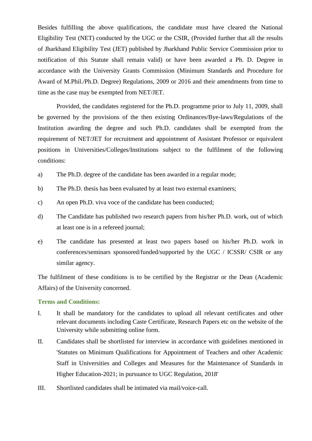Besides fulfilling the above qualifications, the candidate must have cleared the National Eligibility Test (NET) conducted by the UGC or the CSIR, (Provided further that all the results of Jharkhand Eligibility Test (JET) published by Jharkhand Public Service Commission prior to notification of this Statute shall remain valid) or have been awarded a Ph. D. Degree in accordance with the University Grants Commission (Minimum Standards and Procedure for Award of M.Phil./Ph.D. Degree) Regulations, 2009 or 2016 and their amendments from time to time as the case may be exempted from NET/JET.

Provided, the candidates registered for the Ph.D. programme prior to July 11, 2009, shall be governed by the provisions of the then existing Ordinances/Bye-laws/Regulations of the Institution awarding the degree and such Ph.D. candidates shall be exempted from the requirement of NET/JET for recruitment and appointment of Assistant Professor or equivalent positions in Universities/Colleges/Institutions subject to the fulfilment of the following conditions:

- a) The Ph.D. degree of the candidate has been awarded in a regular mode;
- b) The Ph.D. thesis has been evaluated by at least two external examiners;
- c) An open Ph.D. viva voce of the candidate has been conducted;
- d) The Candidate has published two research papers from his/her Ph.D. work, out of which at least one is in a refereed journal;
- e) The candidate has presented at least two papers based on his/her Ph.D. work in conferences/seminars sponsored/funded/supported by the UGC / ICSSR/ CSIR or any similar agency.

The fulfilment of these conditions is to be certified by the Registrar or the Dean (Academic Affairs) of the University concerned.

#### **Terms and Conditions:**

- I. It shall be mandatory for the candidates to upload all relevant certificates and other relevant documents including Caste Certificate, Research Papers etc on the website of the University while submitting online form.
- II. Candidates shall be shortlisted for interview in accordance with guidelines mentioned in 'Statutes on Minimum Qualifications for Appointment of Teachers and other Academic Staff in Universities and Colleges and Measures for the Maintenance of Standards in Higher Education-2021; in pursuance to UGC Regulation, 2018'
- III. Shortlisted candidates shall be intimated via mail/voice-call.